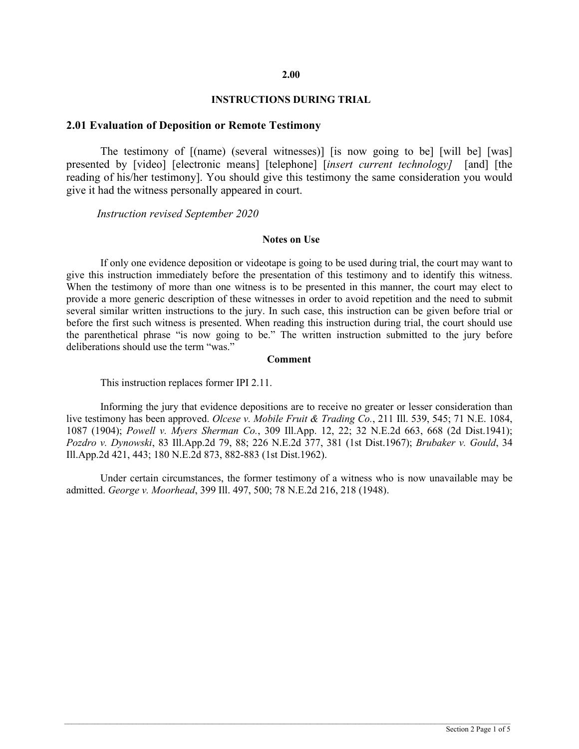#### **2.00**

#### **INSTRUCTIONS DURING TRIAL**

### **2.01 Evaluation of Deposition or Remote Testimony**

The testimony of [(name) (several witnesses)] [is now going to be] [will be] [was] presented by [video] [electronic means] [telephone] [*insert current technology]* [and] [the reading of his/her testimony]. You should give this testimony the same consideration you would give it had the witness personally appeared in court.

*Instruction revised September 2020*

### **Notes on Use**

If only one evidence deposition or videotape is going to be used during trial, the court may want to give this instruction immediately before the presentation of this testimony and to identify this witness. When the testimony of more than one witness is to be presented in this manner, the court may elect to provide a more generic description of these witnesses in order to avoid repetition and the need to submit several similar written instructions to the jury. In such case, this instruction can be given before trial or before the first such witness is presented. When reading this instruction during trial, the court should use the parenthetical phrase "is now going to be." The written instruction submitted to the jury before deliberations should use the term "was."

#### **Comment**

This instruction replaces former IPI 2.11.

Informing the jury that evidence depositions are to receive no greater or lesser consideration than live testimony has been approved. *Olcese v. Mobile Fruit & Trading Co.*, 211 Ill. 539, 545; 71 N.E. 1084, 1087 (1904); *Powell v. Myers Sherman Co.*, 309 Ill.App. 12, 22; 32 N.E.2d 663, 668 (2d Dist.1941); *Pozdro v. Dynowski*, 83 Ill.App.2d 79, 88; 226 N.E.2d 377, 381 (1st Dist.1967); *Brubaker v. Gould*, 34 Ill.App.2d 421, 443; 180 N.E.2d 873, 882-883 (1st Dist.1962).

Under certain circumstances, the former testimony of a witness who is now unavailable may be admitted. *George v. Moorhead*, 399 Ill. 497, 500; 78 N.E.2d 216, 218 (1948).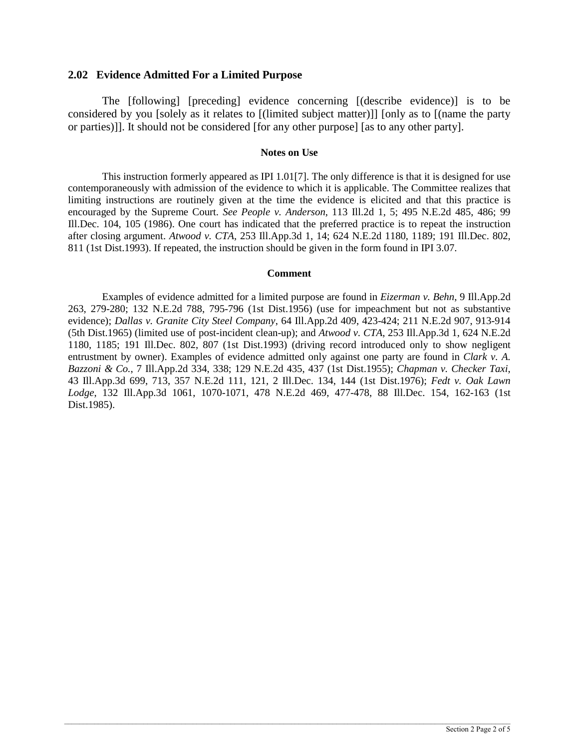# **2.02 Evidence Admitted For a Limited Purpose**

The [following] [preceding] evidence concerning [(describe evidence)] is to be considered by you [solely as it relates to [(limited subject matter)]] [only as to [(name the party or parties)]]. It should not be considered [for any other purpose] [as to any other party].

#### **Notes on Use**

This instruction formerly appeared as IPI 1.01[7]. The only difference is that it is designed for use contemporaneously with admission of the evidence to which it is applicable. The Committee realizes that limiting instructions are routinely given at the time the evidence is elicited and that this practice is encouraged by the Supreme Court. *See People v. Anderson*, 113 Ill.2d 1, 5; 495 N.E.2d 485, 486; 99 Ill.Dec. 104, 105 (1986). One court has indicated that the preferred practice is to repeat the instruction after closing argument. *Atwood v. CTA*, 253 Ill.App.3d 1, 14; 624 N.E.2d 1180, 1189; 191 Ill.Dec. 802, 811 (1st Dist.1993). If repeated, the instruction should be given in the form found in IPI 3.07.

### **Comment**

Examples of evidence admitted for a limited purpose are found in *Eizerman v. Behn*, 9 Ill.App.2d 263, 279-280; 132 N.E.2d 788, 795-796 (1st Dist.1956) (use for impeachment but not as substantive evidence); *Dallas v. Granite City Steel Company*, 64 Ill.App.2d 409, 423-424; 211 N.E.2d 907, 913-914 (5th Dist.1965) (limited use of post-incident clean-up); and *Atwood v. CTA*, 253 Ill.App.3d 1, 624 N.E.2d 1180, 1185; 191 Ill.Dec. 802, 807 (1st Dist.1993) (driving record introduced only to show negligent entrustment by owner). Examples of evidence admitted only against one party are found in *Clark v. A. Bazzoni & Co.*, 7 Ill.App.2d 334, 338; 129 N.E.2d 435, 437 (1st Dist.1955); *Chapman v. Checker Taxi*, 43 Ill.App.3d 699, 713, 357 N.E.2d 111, 121, 2 Ill.Dec. 134, 144 (1st Dist.1976); *Fedt v. Oak Lawn Lodge*, 132 Ill.App.3d 1061, 1070-1071, 478 N.E.2d 469, 477-478, 88 Ill.Dec. 154, 162-163 (1st Dist.1985).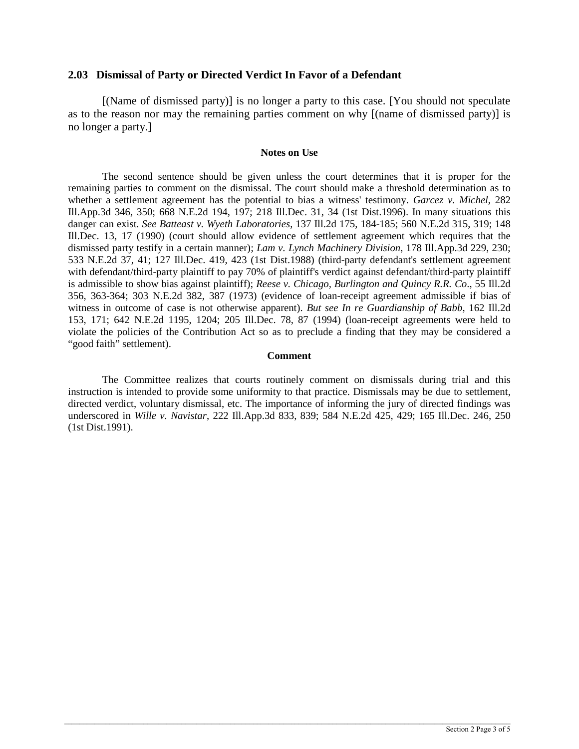# **2.03 Dismissal of Party or Directed Verdict In Favor of a Defendant**

[(Name of dismissed party)] is no longer a party to this case. [You should not speculate as to the reason nor may the remaining parties comment on why [(name of dismissed party)] is no longer a party.]

### **Notes on Use**

The second sentence should be given unless the court determines that it is proper for the remaining parties to comment on the dismissal. The court should make a threshold determination as to whether a settlement agreement has the potential to bias a witness' testimony. *Garcez v. Michel*, 282 Ill.App.3d 346, 350; 668 N.E.2d 194, 197; 218 Ill.Dec. 31, 34 (1st Dist.1996). In many situations this danger can exist. *See Batteast v. Wyeth Laboratories*, 137 Ill.2d 175, 184-185; 560 N.E.2d 315, 319; 148 Ill.Dec. 13, 17 (1990) (court should allow evidence of settlement agreement which requires that the dismissed party testify in a certain manner); *Lam v. Lynch Machinery Division*, 178 Ill.App.3d 229, 230; 533 N.E.2d 37, 41; 127 Ill.Dec. 419, 423 (1st Dist.1988) (third-party defendant's settlement agreement with defendant/third-party plaintiff to pay 70% of plaintiff's verdict against defendant/third-party plaintiff is admissible to show bias against plaintiff); *Reese v. Chicago, Burlington and Quincy R.R. Co*., 55 Ill.2d 356, 363-364; 303 N.E.2d 382, 387 (1973) (evidence of loan-receipt agreement admissible if bias of witness in outcome of case is not otherwise apparent). *But see In re Guardianship of Babb*, 162 Ill.2d 153, 171; 642 N.E.2d 1195, 1204; 205 Ill.Dec. 78, 87 (1994) (loan-receipt agreements were held to violate the policies of the Contribution Act so as to preclude a finding that they may be considered a "good faith" settlement).

# **Comment**

The Committee realizes that courts routinely comment on dismissals during trial and this instruction is intended to provide some uniformity to that practice. Dismissals may be due to settlement, directed verdict, voluntary dismissal, etc. The importance of informing the jury of directed findings was underscored in *Wille v. Navistar*, 222 Ill.App.3d 833, 839; 584 N.E.2d 425, 429; 165 Ill.Dec. 246, 250 (1st Dist.1991).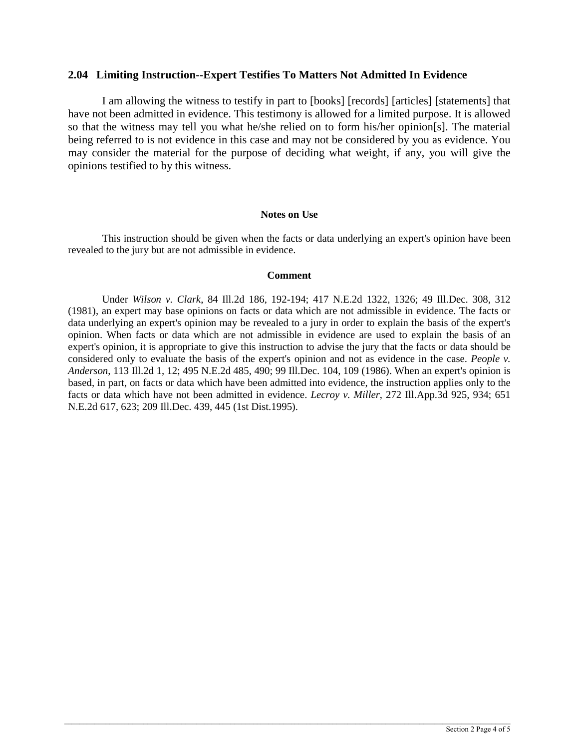# **2.04 Limiting Instruction--Expert Testifies To Matters Not Admitted In Evidence**

I am allowing the witness to testify in part to [books] [records] [articles] [statements] that have not been admitted in evidence. This testimony is allowed for a limited purpose. It is allowed so that the witness may tell you what he/she relied on to form his/her opinion[s]. The material being referred to is not evidence in this case and may not be considered by you as evidence. You may consider the material for the purpose of deciding what weight, if any, you will give the opinions testified to by this witness.

### **Notes on Use**

This instruction should be given when the facts or data underlying an expert's opinion have been revealed to the jury but are not admissible in evidence.

### **Comment**

Under *Wilson v. Clark*, 84 Ill.2d 186, 192-194; 417 N.E.2d 1322, 1326; 49 Ill.Dec. 308, 312 (1981), an expert may base opinions on facts or data which are not admissible in evidence. The facts or data underlying an expert's opinion may be revealed to a jury in order to explain the basis of the expert's opinion. When facts or data which are not admissible in evidence are used to explain the basis of an expert's opinion, it is appropriate to give this instruction to advise the jury that the facts or data should be considered only to evaluate the basis of the expert's opinion and not as evidence in the case. *People v. Anderson*, 113 Ill.2d 1, 12; 495 N.E.2d 485, 490; 99 Ill.Dec. 104, 109 (1986). When an expert's opinion is based, in part, on facts or data which have been admitted into evidence, the instruction applies only to the facts or data which have not been admitted in evidence. *Lecroy v. Miller*, 272 Ill.App.3d 925, 934; 651 N.E.2d 617, 623; 209 Ill.Dec. 439, 445 (1st Dist.1995).